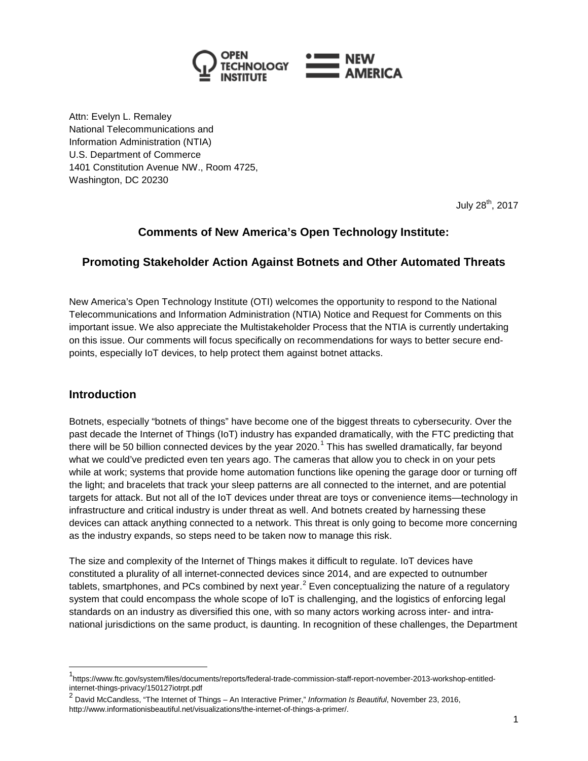

Attn: Evelyn L. Remaley National Telecommunications and Information Administration (NTIA) U.S. Department of Commerce 1401 Constitution Avenue NW., Room 4725, Washington, DC 20230

July 28<sup>th</sup>, 2017

# **Comments of New America's Open Technology Institute:**

## **Promoting Stakeholder Action Against Botnets and Other Automated Threats**

New America's Open Technology Institute (OTI) welcomes the opportunity to respond to the National Telecommunications and Information Administration (NTIA) Notice and Request for Comments on this important issue. We also appreciate the Multistakeholder Process that the NTIA is currently undertaking on this issue. Our comments will focus specifically on recommendations for ways to better secure endpoints, especially IoT devices, to help protect them against botnet attacks.

### **Introduction**

Botnets, especially "botnets of things" have become one of the biggest threats to cybersecurity. Over the past decade the Internet of Things (IoT) industry has expanded dramatically, with the FTC predicting that there will be 50 billion connected devices by the year 2020.<sup>[1](#page-0-0)</sup> This has swelled dramatically, far beyond what we could've predicted even ten years ago. The cameras that allow you to check in on your pets while at work; systems that provide home automation functions like opening the garage door or turning off the light; and bracelets that track your sleep patterns are all connected to the internet, and are potential targets for attack. But not all of the IoT devices under threat are toys or convenience items—technology in infrastructure and critical industry is under threat as well. And botnets created by harnessing these devices can attack anything connected to a network. This threat is only going to become more concerning as the industry expands, so steps need to be taken now to manage this risk.

The size and complexity of the Internet of Things makes it difficult to regulate. IoT devices have constituted a plurality of all internet-connected devices since 2014, and are expected to outnumber tablets, smartphones, and PCs combined by next year.<sup>[2](#page-0-1)</sup> Even conceptualizing the nature of a regulatory system that could encompass the whole scope of IoT is challenging, and the logistics of enforcing legal standards on an industry as diversified this one, with so many actors working across inter- and intranational jurisdictions on the same product, is daunting. In recognition of these challenges, the Department

<span id="page-0-0"></span> <sup>1</sup> https://www.ftc.gov/system/files/documents/reports/federal-trade-commission-staff-report-november-2013-workshop-entitledinternet-things-privacy/150127iotrpt.pdf

<span id="page-0-1"></span><sup>2</sup> David McCandless, "The Internet of Things – An Interactive Primer," *Information Is Beautiful*, November 23, 2016, http://www.informationisbeautiful.net/visualizations/the-internet-of-things-a-primer/.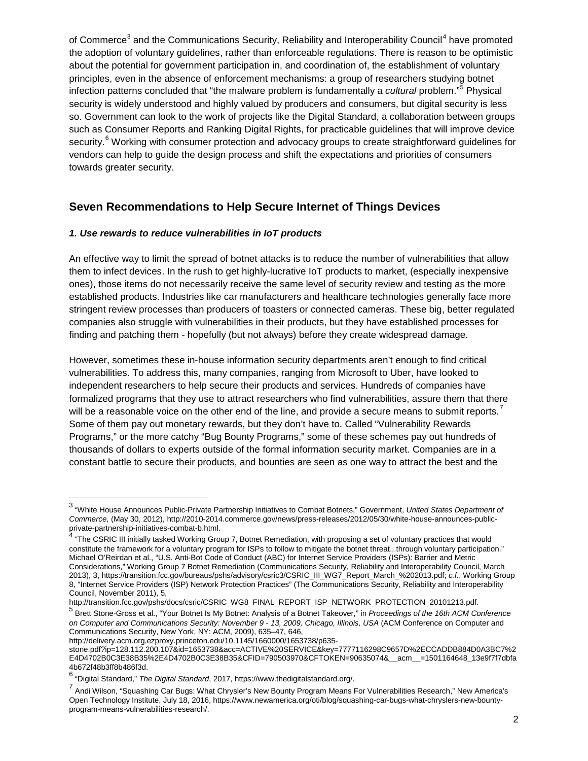of Commerce<sup>[3](#page-1-0)</sup> and the Communications Security, Reliability and Interoperability Council<sup>[4](#page-1-1)</sup> have promoted the adoption of voluntary guidelines, rather than enforceable regulations. There is reason to be optimistic about the potential for government participation in, and coordination of, the establishment of voluntary principles, even in the absence of enforcement mechanisms: a group of researchers studying botnet infection patterns concluded that "the malware problem is fundamentally a *cultural* problem."[5](#page-1-2) Physical security is widely understood and highly valued by producers and consumers, but digital security is less so. Government can look to the work of projects like the Digital Standard, a collaboration between groups such as Consumer Reports and Ranking Digital Rights, for practicable guidelines that will improve device security.<sup>[6](#page-1-3)</sup> Working with consumer protection and advocacy groups to create straightforward guidelines for vendors can help to guide the design process and shift the expectations and priorities of consumers towards greater security.

## **Seven Recommendations to Help Secure Internet of Things Devices**

#### *1. Use rewards to reduce vulnerabilities in IoT products*

An effective way to limit the spread of botnet attacks is to reduce the number of vulnerabilities that allow them to infect devices. In the rush to get highly-lucrative IoT products to market, (especially inexpensive ones), those items do not necessarily receive the same level of security review and testing as the more established products. Industries like car manufacturers and healthcare technologies generally face more stringent review processes than producers of toasters or connected cameras. These big, better regulated companies also struggle with vulnerabilities in their products, but they have established processes for finding and patching them - hopefully (but not always) before they create widespread damage.

However, sometimes these in-house information security departments aren't enough to find critical vulnerabilities. To address this, many companies, ranging from Microsoft to Uber, have looked to independent researchers to help secure their products and services. Hundreds of companies have formalized programs that they use to attract researchers who find vulnerabilities, assure them that there will be a reasonable voice on the other end of the line, and provide a secure means to submit reports.<sup>[7](#page-1-4)</sup> Some of them pay out monetary rewards, but they don't have to. Called "Vulnerability Rewards Programs," or the more catchy "Bug Bounty Programs," some of these schemes pay out hundreds of thousands of dollars to experts outside of the formal information security market. Companies are in a constant battle to secure their products, and bounties are seen as one way to attract the best and the

<span id="page-1-2"></span><sup>5</sup> Brett Stone-Gross et al., "Your Botnet Is My Botnet: Analysis of a Botnet Takeover," in *Proceedings of the 16th ACM Conference on Computer and Communications Security: November 9 - 13, 2009, Chicago, Illinois, USA* (ACM Conference on Computer and Communications Security, New York, NY: ACM, 2009), 635–47, 646,

http://delivery.acm.org.ezproxy.princeton.edu/10.1145/1660000/1653738/p635-

<span id="page-1-0"></span> <sup>3</sup> "White House Announces Public-Private Partnership Initiatives to Combat Botnets," Government, *United States Department of Commerce*, (May 30, 2012), http://2010-2014.commerce.gov/news/press-releases/2012/05/30/white-house-announces-publicprivate-partnership-initiatives-combat-b.html.

<span id="page-1-1"></span>A "The CSRIC III initially tasked Working Group 7, Botnet Remediation, with proposing a set of voluntary practices that would constitute the framework for a voluntary program for ISPs to follow to mitigate the botnet threat...through voluntary participation." Michael O'Reirdan et al., "U.S. Anti-Bot Code of Conduct (ABC) for Internet Service Providers (ISPs): Barrier and Metric Considerations," Working Group 7 Botnet Remediation (Communications Security, Reliability and Interoperability Council, March 2013), 3, https://transition.fcc.gov/bureaus/pshs/advisory/csric3/CSRIC\_III\_WG7\_Report\_March\_%202013.pdf; *c.f.*, Working Group 8, "Internet Service Providers (ISP) Network Protection Practices" (The Communications Security, Reliability and Interoperability Council, November 2011), 5,

http://transition.fcc.gov/pshs/docs/csric/CSRIC\_WG8\_FINAL\_REPORT\_ISP\_NETWORK\_PROTECTION\_20101213.pdf.

stone.pdf?ip=128.112.200.107&id=1653738&acc=ACTIVE%20SERVICE&key=7777116298C9657D%2ECCADDB884D0A3BC7%2 E4D4702B0C3E38B35%2E4D4702B0C3E38B35&CFID=790503970&CFTOKEN=90635074&\_\_acm\_\_=1501164648\_13e9f7f7dbfa 4b672f48b3ff8b486f3d.

<span id="page-1-3"></span><sup>6</sup> "Digital Standard," *The Digital Standard*, 2017, https://www.thedigitalstandard.org/.

<span id="page-1-4"></span><sup>7</sup> Andi Wilson, "Squashing Car Bugs: What Chrysler's New Bounty Program Means For Vulnerabilities Research," New America's Open Technology Institute, July 18, 2016, https://www.newamerica.org/oti/blog/squashing-car-bugs-what-chryslers-new-bountyprogram-means-vulnerabilities-research/.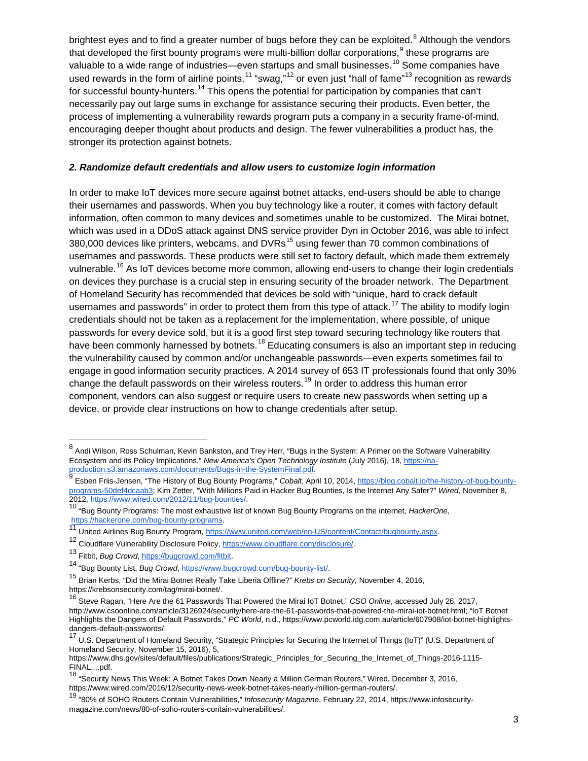brightest eyes and to find a greater number of bugs before they can be exploited.<sup>[8](#page-2-0)</sup> Although the vendors that developed the first bounty programs were multi-billion dollar corporations,  $9$  these programs are valuable to a wide range of industries—even startups and small businesses.<sup>[10](#page-2-2)</sup> Some companies have used rewards in the form of airline points,  $11$  "swag,"<sup>[12](#page-2-4)</sup> or even just "hall of fame"<sup>[13](#page-2-5)</sup> recognition as rewards for successful bounty-hunters.<sup>[14](#page-2-6)</sup> This opens the potential for participation by companies that can't necessarily pay out large sums in exchange for assistance securing their products. Even better, the process of implementing a vulnerability rewards program puts a company in a security frame-of-mind, encouraging deeper thought about products and design. The fewer vulnerabilities a product has, the stronger its protection against botnets.

#### *2. Randomize default credentials and allow users to customize login information*

In order to make IoT devices more secure against botnet attacks, end-users should be able to change their usernames and passwords. When you buy technology like a router, it comes with factory default information, often common to many devices and sometimes unable to be customized. The Mirai botnet, which was used in a DDoS attack against DNS service provider Dyn in October 2016, was able to infect 380,000 devices like printers, webcams, and DVRs<sup>[15](#page-2-7)</sup> using fewer than 70 common combinations of usernames and passwords. These products were still set to factory default, which made them extremely vulnerable.<sup>[16](#page-2-8)</sup> As IoT devices become more common, allowing end-users to change their login credentials on devices they purchase is a crucial step in ensuring security of the broader network. The Department of Homeland Security has recommended that devices be sold with "unique, hard to crack default usernames and passwords" in order to protect them from this type of attack.<sup>[17](#page-2-9)</sup> The ability to modify login credentials should not be taken as a replacement for the implementation, where possible, of unique passwords for every device sold, but it is a good first step toward securing technology like routers that have been commonly harnessed by botnets.<sup>[18](#page-2-10)</sup> Educating consumers is also an important step in reducing the vulnerability caused by common and/or unchangeable passwords—even experts sometimes fail to engage in good information security practices. A 2014 survey of 653 IT professionals found that only 30% change the default passwords on their wireless routers.<sup>[19](#page-2-11)</sup> In order to address this human error component, vendors can also suggest or require users to create new passwords when setting up a device, or provide clear instructions on how to change credentials after setup.

<span id="page-2-0"></span> <sup>8</sup> Andi Wilson, Ross Schulman, Kevin Bankston, and Trey Herr, "Bugs in the System: A Primer on the Software Vulnerability Ecosystem and its Policy Implications," *New America's Open Technology Institute* (July 2016), 18, https://na-<br>production.s3.amazonaws.com/documents/Bugs-in-the-SystemFinal.pdf.

<span id="page-2-1"></span>Esben Friis-Jensen, "The History of Bug Bounty Programs," *Cobalt*, April 10, 2014[, https://blog.cobalt.io/the-history-of-bug-bounty](https://blog.cobalt.io/the-history-of-bug-bounty-programs-50def4dcaab3)[programs-50def4dcaab3;](https://blog.cobalt.io/the-history-of-bug-bounty-programs-50def4dcaab3) Kim Zetter, "With Millions Paid in Hacker Bug Bounties, Is the Internet Any Safer?" *Wired*, November 8,

<span id="page-2-2"></span><sup>&</sup>lt;sup>10</sup> "Bug Bounty Programs: The most exhaustive list of known Bug Bounty Programs on the internet, *HackerOne*, <br>https://hackerone.com/bug-bounty-programs.<br><sup>11</sup> United Airlines Pug Bounty Program, Miss (*internet)* of expli

<span id="page-2-4"></span><span id="page-2-3"></span><sup>&</sup>lt;sup>11</sup> United Airlines Bug Bounty Program[, https://www.united.com/web/en-US/content/Contact/bugbounty.aspx.](https://www.united.com/web/en-US/content/Contact/bugbounty.aspx)<br><sup>12</sup> Cloudflare Vulnerability Disclosure Policy, [https://www.cloudflare.com/disclosure/.](https://www.cloudflare.com/disclosure/)<br><sup>13</sup> Fitbit, *Bug Crowd*, h

<span id="page-2-5"></span>

<span id="page-2-6"></span>

<span id="page-2-7"></span>https://krebsonsecurity.com/tag/mirai-botnet/.

<span id="page-2-8"></span><sup>16</sup> Steve Ragan, "Here Are the 61 Passwords That Powered the Mirai IoT Botnet," *CSO Online*, accessed July 26, 2017, http://www.csoonline.com/article/3126924/security/here-are-the-61-passwords-that-powered-the-mirai-iot-botnet.html; "IoT Botnet Highlights the Dangers of Default Passwords," *PC World*, n.d., https://www.pcworld.idg.com.au/article/607908/iot-botnet-highlightsdangers-default-passwords/.

<span id="page-2-9"></span><sup>17</sup> U.S. Department of Homeland Security, "Strategic Principles for Securing the Internet of Things (IoT)" (U.S. Department of Homeland Security, November 15, 2016), 5,

https://www.dhs.gov/sites/default/files/publications/Strategic\_Principles\_for\_Securing\_the\_Internet\_of\_Things-2016-1115-FINAL....pdf.

<span id="page-2-10"></span><sup>18 &</sup>quot;Security News This Week: A Botnet Takes Down Nearly a Million German Routers," Wired, December 3, 2016, https://www.wired.com/2016/12/security-news-week-botnet-takes-nearly-million-german-routers/.

<span id="page-2-11"></span><sup>19</sup> "80% of SOHO Routers Contain Vulnerabilities," *Infosecurity Magazine*, February 22, 2014, https://www.infosecuritymagazine.com/news/80-of-soho-routers-contain-vulnerabilities/.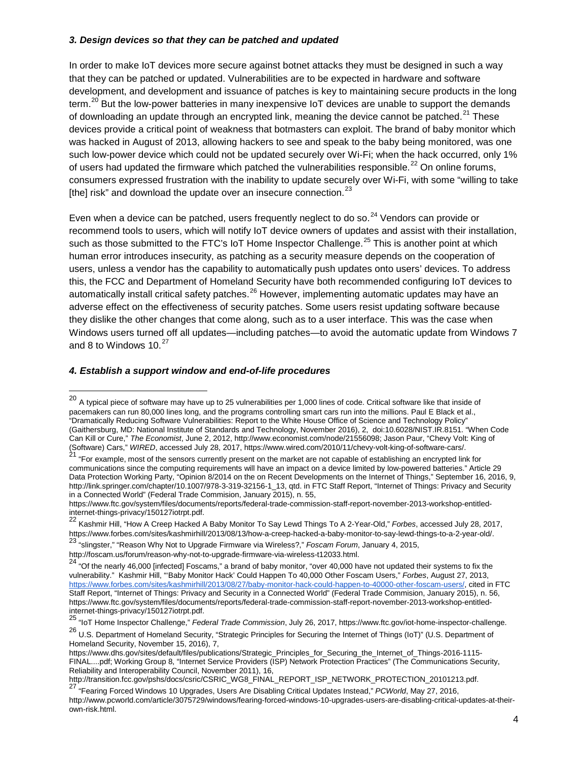#### *3. Design devices so that they can be patched and updated*

In order to make IoT devices more secure against botnet attacks they must be designed in such a way that they can be patched or updated. Vulnerabilities are to be expected in hardware and software development, and development and issuance of patches is key to maintaining secure products in the long term.<sup>[20](#page-3-0)</sup> But the low-power batteries in many inexpensive IoT devices are unable to support the demands of downloading an update through an encrypted link, meaning the device cannot be patched.<sup>[21](#page-3-1)</sup> These devices provide a critical point of weakness that botmasters can exploit. The brand of baby monitor which was hacked in August of 2013, allowing hackers to see and speak to the baby being monitored, was one such low-power device which could not be updated securely over Wi-Fi; when the hack occurred, only 1% of users had updated the firmware which patched the vulnerabilities responsible.<sup>[22](#page-3-2)</sup> On online forums, consumers expressed frustration with the inability to update securely over Wi-Fi, with some "willing to take [the] risk" and download the update over an insecure connection. $23$ 

Even when a device can be patched, users frequently neglect to do so.  $24$  Vendors can provide or recommend tools to users, which will notify IoT device owners of updates and assist with their installation, such as those submitted to the FTC's IoT Home Inspector Challenge.<sup>[25](#page-3-5)</sup> This is another point at which human error introduces insecurity, as patching as a security measure depends on the cooperation of users, unless a vendor has the capability to automatically push updates onto users' devices. To address this, the FCC and Department of Homeland Security have both recommended configuring IoT devices to automatically install critical safety patches.<sup>[26](#page-3-6)</sup> However, implementing automatic updates may have an adverse effect on the effectiveness of security patches. Some users resist updating software because they dislike the other changes that come along, such as to a user interface. This was the case when Windows users turned off all updates—including patches—to avoid the automatic update from Windows 7 and 8 to Windows  $10.<sup>27</sup>$  $10.<sup>27</sup>$  $10.<sup>27</sup>$ 

#### *4. Establish a support window and end-of-life procedures*

<span id="page-3-0"></span> $20$  A tvpical piece of software may have up to 25 vulnerabilities per 1,000 lines of code. Critical software like that inside of pacemakers can run 80,000 lines long, and the programs controlling smart cars run into the millions. Paul E Black et al., "Dramatically Reducing Software Vulnerabilities: Report to the White House Office of Science and Technology Policy" (Gaithersburg, MD: National Institute of Standards and Technology, November 2016), 2, doi:10.6028/NIST.IR.8151. "When Code Can Kill or Cure," *The Economist*, June 2, 2012, http://www.economist.com/node/21556098; Jason Paur, "Chevy Volt: King of (Software) Cars," *WIRED*, accessed July 28, 2017, https://www.wired.com/2010/11/chevy-volt-king-of-software-cars/.<br><sup>21</sup> "For example, most of the sensors currently present on the market are not capable of establishing an

<span id="page-3-1"></span>communications since the computing requirements will have an impact on a device limited by low-powered batteries." Article 29 Data Protection Working Party, "Opinion 8/2014 on the on Recent Developments on the Internet of Things," September 16, 2016, 9, http://link.springer.com/chapter/10.1007/978-3-319-32156-1\_13, qtd. in FTC Staff Report, "Internet of Things: Privacy and Security in a Connected World" (Federal Trade Commision, January 2015), n. 55,

https://www.ftc.gov/system/files/documents/reports/federal-trade-commission-staff-report-november-2013-workshop-entitledinternet-things-privacy/150127iotrpt.pdf.

<span id="page-3-2"></span><sup>22</sup> Kashmir Hill, "How A Creep Hacked A Baby Monitor To Say Lewd Things To A 2-Year-Old," *Forbes*, accessed July 28, 2017, https://www.forbes.com/sites/kashmirhill/2013/08/13/how-a-creep-hacked-a-baby-monitor-to-say-lewd-things-to-a-2-year-old/.<br><sup>23</sup> "slingster," "Reason Why Not to Upgrade Firmware via Wireless?," *Foscam Forum*, January 4, 20

<span id="page-3-3"></span>

http://foscam.us/forum/reason-why-not-to-upgrade-firmware-via-wireless-t12033.html.

<span id="page-3-4"></span><sup>&</sup>lt;sup>24</sup> "Of the nearly 46,000 [infected] Foscams," a brand of baby monitor, "over 40,000 have not updated their systems to fix the vulnerability." Kashmir Hill, "'Baby Monitor Hack' Could Happen To 40,000 Other Foscam Users," *Forbes*, August 27, 2013, [https://www.forbes.com/sites/kashmirhill/2013/08/27/baby-monitor-hack-could-happen-to-40000-other-foscam-users/,](https://www.forbes.com/sites/kashmirhill/2013/08/27/baby-monitor-hack-could-happen-to-40000-other-foscam-users/) cited in FTC Staff Report, "Internet of Things: Privacy and Security in a Connected World" (Federal Trade Commision, January 2015), n. 56, https://www.ftc.gov/system/files/documents/reports/federal-trade-commission-staff-report-november-2013-workshop-entitledinternet-things-privacy/150127iotrpt.pdf.

<span id="page-3-5"></span><sup>25</sup> "IoT Home Inspector Challenge," *Federal Trade Commission*, July 26, 2017, https://www.ftc.gov/iot-home-inspector-challenge.

<span id="page-3-6"></span><sup>26</sup> U.S. Department of Homeland Security, "Strategic Principles for Securing the Internet of Things (IoT)" (U.S. Department of Homeland Security, November 15, 2016), 7,

https://www.dhs.gov/sites/default/files/publications/Strategic\_Principles\_for\_Securing\_the\_Internet\_of\_Things-2016-1115- FINAL....pdf; Working Group 8, "Internet Service Providers (ISP) Network Protection Practices" (The Communications Security, Reliability and Interoperability Council, November 2011), 16,

http://transition.fcc.gov/pshs/docs/csric/CSRIC\_WG8\_FINAL\_REPORT\_ISP\_NETWORK\_PROTECTION\_20101213.pdf.

<span id="page-3-7"></span><sup>27</sup> "Fearing Forced Windows 10 Upgrades, Users Are Disabling Critical Updates Instead," *PCWorld*, May 27, 2016, http://www.pcworld.com/article/3075729/windows/fearing-forced-windows-10-upgrades-users-are-disabling-critical-updates-at-theirown-risk.html.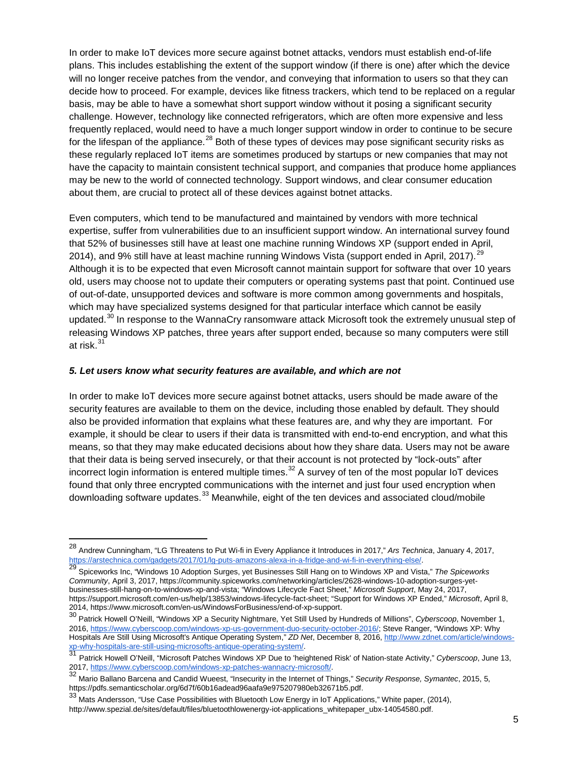In order to make IoT devices more secure against botnet attacks, vendors must establish end-of-life plans. This includes establishing the extent of the support window (if there is one) after which the device will no longer receive patches from the vendor, and conveying that information to users so that they can decide how to proceed. For example, devices like fitness trackers, which tend to be replaced on a regular basis, may be able to have a somewhat short support window without it posing a significant security challenge. However, technology like connected refrigerators, which are often more expensive and less frequently replaced, would need to have a much longer support window in order to continue to be secure for the lifespan of the appliance.<sup>[28](#page-4-0)</sup> Both of these types of devices may pose significant security risks as these regularly replaced IoT items are sometimes produced by startups or new companies that may not have the capacity to maintain consistent technical support, and companies that produce home appliances may be new to the world of connected technology. Support windows, and clear consumer education about them, are crucial to protect all of these devices against botnet attacks.

Even computers, which tend to be manufactured and maintained by vendors with more technical expertise, suffer from vulnerabilities due to an insufficient support window. An international survey found that 52% of businesses still have at least one machine running Windows XP (support ended in April, 2014), and 9% still have at least machine running Windows Vista (support ended in April, 2017).<sup>[29](#page-4-1)</sup> Although it is to be expected that even Microsoft cannot maintain support for software that over 10 years old, users may choose not to update their computers or operating systems past that point. Continued use of out-of-date, unsupported devices and software is more common among governments and hospitals, which may have specialized systems designed for that particular interface which cannot be easily updated.<sup>[30](#page-4-2)</sup> In response to the WannaCry ransomware attack Microsoft took the extremely unusual step of releasing Windows XP patches, three years after support ended, because so many computers were still at risk.<sup>[31](#page-4-3)</sup>

#### *5. Let users know what security features are available, and which are not*

In order to make IoT devices more secure against botnet attacks, users should be made aware of the security features are available to them on the device, including those enabled by default. They should also be provided information that explains what these features are, and why they are important. For example, it should be clear to users if their data is transmitted with end-to-end encryption, and what this means, so that they may make educated decisions about how they share data. Users may not be aware that their data is being served insecurely, or that their account is not protected by "lock-outs" after incorrect login information is entered multiple times.<sup>[32](#page-4-4)</sup> A survey of ten of the most popular IoT devices found that only three encrypted communications with the internet and just four used encryption when downloading software updates.<sup>[33](#page-4-5)</sup> Meanwhile, eight of the ten devices and associated cloud/mobile

<span id="page-4-0"></span> <sup>28</sup> Andrew Cunningham, "LG Threatens to Put Wi-fi in Every Appliance it Introduces in 2017," *Ars Technica*, January 4, 2017, on and the structure in produces in 2017, Ars Technica, January 4, 2017<br>[https://arstechnica.com/gadgets/2017/01/lg-puts-amazons-alexa-in-a-fridge-and-wi-fi-in-everything-else/.](https://arstechnica.com/gadgets/2017/01/lg-puts-amazons-alexa-in-a-fridge-and-wi-fi-in-everything-else/)<br><sup>[29](https://arstechnica.com/gadgets/2017/01/lg-puts-amazons-alexa-in-a-fridge-and-wi-fi-in-everything-else/)</sup> Spiceworks Inc, "Windows 10 Adoption Sur

<span id="page-4-1"></span>*Community*, April 3, 2017, https://community.spiceworks.com/networking/articles/2628-windows-10-adoption-surges-yetbusinesses-still-hang-on-to-windows-xp-and-vista; "Windows Lifecycle Fact Sheet," *Microsoft Support*, May 24, 2017, https://support.microsoft.com/en-us/help/13853/windows-lifecycle-fact-sheet; "Support for Windows XP Ended," *Microsoft*, April 8,

<span id="page-4-2"></span><sup>2014,</sup> https://www.microsoft.com/en-us/WindowsForBusiness/end-of-xp-support. <sup>30</sup> Patrick Howell O'Neill, "Windows XP a Security Nightmare, Yet Still Used by Hundreds of Millions", *Cyberscoop*, November 1, 2016, [https://www.cyberscoop.com/windows-xp-us-government-duo-security-october-2016/;](https://www.cyberscoop.com/windows-xp-us-government-duo-security-october-2016/) Steve Ranger, "Windows XP: Why<br>Hospitals Are Still Using Microsoft's Antique Operating System," ZD Net, December 8, 2016, http://www.zdn Hospitals Are Still Using Microsoft's Antique Operating System," *ZD Net*, December 8, 2016[, http://www.zdnet.com/article/windows-](http://www.zdnet.com/article/windows-xp-why-hospitals-are-still-using-microsofts-antique-operating-system/)

<span id="page-4-3"></span><sup>&</sup>lt;sup>31</sup> Patrick Howell O'Neill, "Microsoft Patches Windows XP Due to 'heightened Risk' of Nation-state Activity," *Cyberscoop*, June 13,<br>2017, <u>https://www.cyberscoop.com/windows-xp-patches-wannacry-microsoft/</u>.

<span id="page-4-4"></span><sup>2017,</sup> **https://windows-community-microsoft/. 2015**<br><sup>32</sup> Mario Ballano Barcena and Candid Wueest, "Insecurity in the Internet of Things," *Security Response, Symantec*, 2015, 5,

<span id="page-4-5"></span>https://pdfs.semanticscholar.org/6d7f/60b16adead96aafa9e975207980eb32671b5.pdf.<br><sup>33</sup> Mats Andersson, "Use Case Possibilities with Bluetooth Low Energy in IoT Applications," White paper, (2014), http://www.spezial.de/sites/default/files/bluetoothlowenergy-iot-applications\_whitepaper\_ubx-14054580.pdf.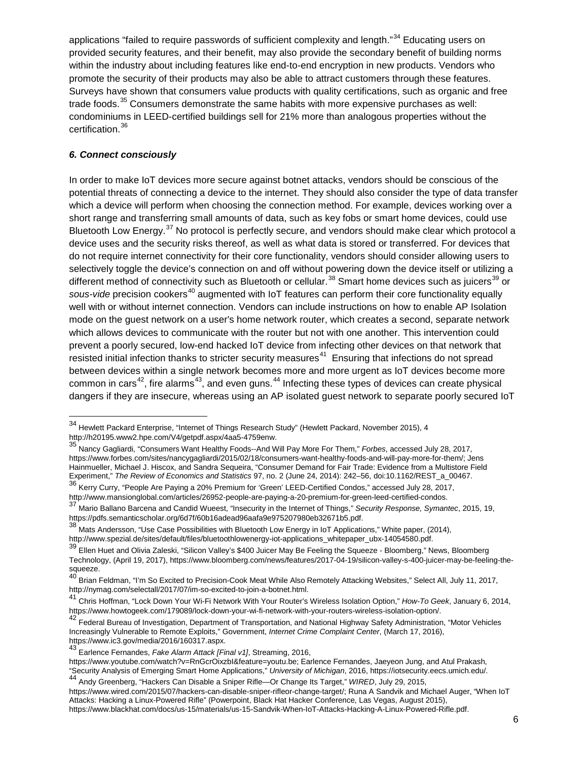applications "failed to require passwords of sufficient complexity and length."<sup>[34](#page-5-0)</sup> Educating users on provided security features, and their benefit, may also provide the secondary benefit of building norms within the industry about including features like end-to-end encryption in new products. Vendors who promote the security of their products may also be able to attract customers through these features. Surveys have shown that consumers value products with quality certifications, such as organic and free trade foods.<sup>[35](#page-5-1)</sup> Consumers demonstrate the same habits with more expensive purchases as well: condominiums in LEED-certified buildings sell for 21% more than analogous properties without the certification.<sup>[36](#page-5-2)</sup>

#### *6. Connect consciously*

In order to make IoT devices more secure against botnet attacks, vendors should be conscious of the potential threats of connecting a device to the internet. They should also consider the type of data transfer which a device will perform when choosing the connection method. For example, devices working over a short range and transferring small amounts of data, such as key fobs or smart home devices, could use Bluetooth Low Energy.<sup>[37](#page-5-3)</sup> No protocol is perfectly secure, and vendors should make clear which protocol a device uses and the security risks thereof, as well as what data is stored or transferred. For devices that do not require internet connectivity for their core functionality, vendors should consider allowing users to selectively toggle the device's connection on and off without powering down the device itself or utilizing a different method of connectivity such as Bluetooth or cellular.<sup>[38](#page-5-4)</sup> Smart home devices such as juicers<sup>[39](#page-5-5)</sup> or sous-vide precision cookers<sup>[40](#page-5-6)</sup> augmented with IoT features can perform their core functionality equally well with or without internet connection. Vendors can include instructions on how to enable AP Isolation mode on the guest network on a user's home network router, which creates a second, separate network which allows devices to communicate with the router but not with one another. This intervention could prevent a poorly secured, low-end hacked IoT device from infecting other devices on that network that resisted initial infection thanks to stricter security measures<sup>[41](#page-5-7)</sup> Ensuring that infections do not spread between devices within a single network becomes more and more urgent as IoT devices become more common in cars<sup>[42](#page-5-8)</sup>, fire alarms<sup>[43](#page-5-9)</sup>, and even guns.<sup>[44](#page-5-10)</sup> Infecting these types of devices can create physical dangers if they are insecure, whereas using an AP isolated guest network to separate poorly secured IoT

<span id="page-5-0"></span> <sup>34</sup> Hewlett Packard Enterprise, "Internet of Things Research Study" (Hewlett Packard, November 2015), 4 http://h20195.www2.hpe.com/V4/getpdf.aspx/4aa5-4759enw.

<span id="page-5-1"></span><sup>35</sup> Nancy Gagliardi, "Consumers Want Healthy Foods--And Will Pay More For Them," *Forbes*, accessed July 28, 2017, https://www.forbes.com/sites/nancygagliardi/2015/02/18/consumers-want-healthy-foods-and-will-pay-more-for-them/; Jens Hainmueller, Michael J. Hiscox, and Sandra Sequeira, "Consumer Demand for Fair Trade: Evidence from a Multistore Field Experiment," *The Review of Economics and Statistics* 97, no. 2 (June 24, 2014): 242–56, doi:10.1162/REST\_a\_00467.

<span id="page-5-2"></span><sup>36</sup> Kerry Curry, "People Are Paying a 20% Premium for 'Green' LEED-Certified Condos," accessed July 28, 2017, http://www.mansionglobal.com/articles/26952-people-are-paying-a-20-premium-for-green-leed-certified-condos.

<span id="page-5-3"></span><sup>37</sup> Mario Ballano Barcena and Candid Wueest, "Insecurity in the Internet of Things," *Security Response, Symantec*, 2015, 19, https://pdfs.semanticscholar.org/6d7f/60b16adead96aafa9e975207980eb32671b5.pdf.

<span id="page-5-4"></span><sup>38</sup> Mats Andersson, "Use Case Possibilities with Bluetooth Low Energy in IoT Applications," White paper, (2014), http://www.spezial.de/sites/default/files/bluetoothlowenergy-iot-applications\_whitepaper\_ubx-14054580.pdf.

<span id="page-5-5"></span><sup>39</sup> Ellen Huet and Olivia Zaleski, "Silicon Valley's \$400 Juicer May Be Feeling the Squeeze - Bloomberg," News, Bloomberg Technology, (April 19, 2017), https://www.bloomberg.com/news/features/2017-04-19/silicon-valley-s-400-juicer-may-be-feeling-thesqueeze.

<span id="page-5-6"></span><sup>&</sup>lt;sup>40</sup> Brian Feldman, "I'm So Excited to Precision-Cook Meat While Also Remotely Attacking Websites," Select All, July 11, 2017, http://nymag.com/selectall/2017/07/im-so-excited-to-join-a-botnet.html.

<span id="page-5-7"></span><sup>41</sup> Chris Hoffman, "Lock Down Your Wi-Fi Network With Your Router's Wireless Isolation Option," *How-To Geek*, January 6, 2014, https://www.howtogeek.com/179089/lock-down-your-wi-fi-network-with-your-routers-wireless-isolation-option/.

<span id="page-5-8"></span><sup>&</sup>lt;sup>42</sup> Federal Bureau of Investigation, Department of Transportation, and National Highway Safety Administration, "Motor Vehicles Increasingly Vulnerable to Remote Exploits," Government, *Internet Crime Complaint Center*, (March 17, 2016), https://www.ic3.gov/media/2016/160317.aspx.

<span id="page-5-9"></span><sup>43</sup> Earlence Fernandes, *Fake Alarm Attack [Final v1]*, Streaming, 2016,

https://www.youtube.com/watch?v=RnGcrOixzbI&feature=youtu.be; Earlence Fernandes, Jaeyeon Jung, and Atul Prakash,

<span id="page-5-10"></span><sup>&</sup>quot;Security Analysis of Emerging Smart Home Applications," *University of Michigan*, 2016, https://iotsecurity.eecs.umich.edu/. <sup>44</sup> Andy Greenberg, "Hackers Can Disable a Sniper Rifle—Or Change Its Target," *WIRED*, July 29, 2015,

https://www.wired.com/2015/07/hackers-can-disable-sniper-rifleor-change-target/; Runa A Sandvik and Michael Auger, "When IoT

Attacks: Hacking a Linux-Powered Rifle" (Powerpoint, Black Hat Hacker Conference, Las Vegas, August 2015), https://www.blackhat.com/docs/us-15/materials/us-15-Sandvik-When-IoT-Attacks-Hacking-A-Linux-Powered-Rifle.pdf.